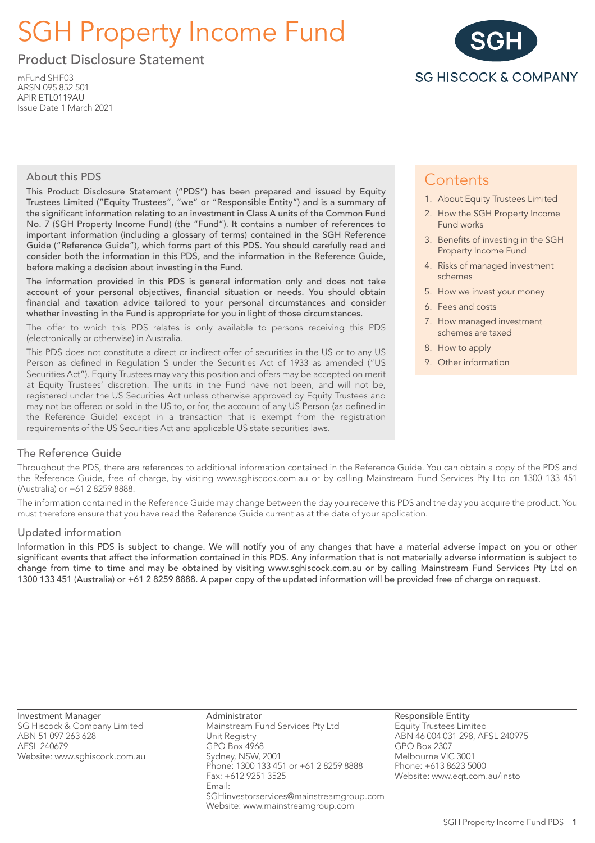# SGH Property Income Fund

Product Disclosure Statement

mFund SHF03 ARSN 095 852 501 APIR ETL0119AU Issue Date 1 March 2021



# About this PDS

This Product Disclosure Statement ("PDS") has been prepared and issued by Equity Trustees Limited ("Equity Trustees", "we" or "Responsible Entity") and is a summary of the significant information relating to an investment in Class A units of the Common Fund No. 7 (SGH Property Income Fund) (the "Fund"). It contains a number of references to important information (including a glossary of terms) contained in the SGH Reference Guide ("Reference Guide"), which forms part of this PDS. You should carefully read and consider both the information in this PDS, and the information in the Reference Guide, before making a decision about investing in the Fund.

The information provided in this PDS is general information only and does not take account of your personal objectives, financial situation or needs. You should obtain financial and taxation advice tailored to your personal circumstances and consider whether investing in the Fund is appropriate for you in light of those circumstances.

The offer to which this PDS relates is only available to persons receiving this PDS (electronically or otherwise) in Australia.

This PDS does not constitute a direct or indirect offer of securities in the US or to any US Person as defined in Regulation S under the Securities Act of 1933 as amended ("US Securities Act"). Equity Trustees may vary this position and offers may be accepted on merit at Equity Trustees' discretion. The units in the Fund have not been, and will not be, registered under the US Securities Act unless otherwise approved by Equity Trustees and may not be offered or sold in the US to, or for, the account of any US Person (as defined in the Reference Guide) except in a transaction that is exempt from the registration requirements of the US Securities Act and applicable US state securities laws.

# **Contents**

- 1. About Equity Trustees Limited
- 2. How the SGH Property Income Fund works
- 3. Benefits of investing in the SGH Property Income Fund
- 4. Risks of managed investment schemes
- 5. How we invest your money
- 6. Fees and costs
- 7. How managed investment schemes are taxed
- 8. How to apply
- 9. Other information

# The Reference Guide

Throughout the PDS, there are references to additional information contained in the Reference Guide. You can obtain a copy of the PDS and the Reference Guide, free of charge, by visiting www.sghiscock.com.au or by calling Mainstream Fund Services Pty Ltd on 1300 133 451 (Australia) or +61 2 8259 8888.

The information contained in the Reference Guide may change between the day you receive this PDS and the day you acquire the product. You must therefore ensure that you have read the Reference Guide current as at the date of your application.

# Updated information

Information in this PDS is subject to change. We will notify you of any changes that have a material adverse impact on you or other significant events that affect the information contained in this PDS. Any information that is not materially adverse information is subject to change from time to time and may be obtained by visiting www.sghiscock.com.au or by calling Mainstream Fund Services Pty Ltd on 1300 133 451 (Australia) or +61 2 8259 8888. A paper copy of the updated information will be provided free of charge on request.

Investment Manager

SG Hiscock & Company Limited ABN 51 097 263 628 AFSL 240679 Website: www.sghiscock.com.au

Administrator Mainstream Fund Services Pty Ltd Unit Registry GPO Box 4968 Sydney, NSW, 2001 Phone: 1300 133 451 or +61 2 8259 8888 Fax: +612 9251 3525 Email: SGHinvestorservices@mainstreamgroup.com Website: www.mainstreamgroup.com

Responsible Entity Equity Trustees Limited ABN 46 004 031 298, AFSL 240975 GPO Box 2307 Melbourne VIC 3001 Phone: +613 8623 5000 Website: www.eqt.com.au/insto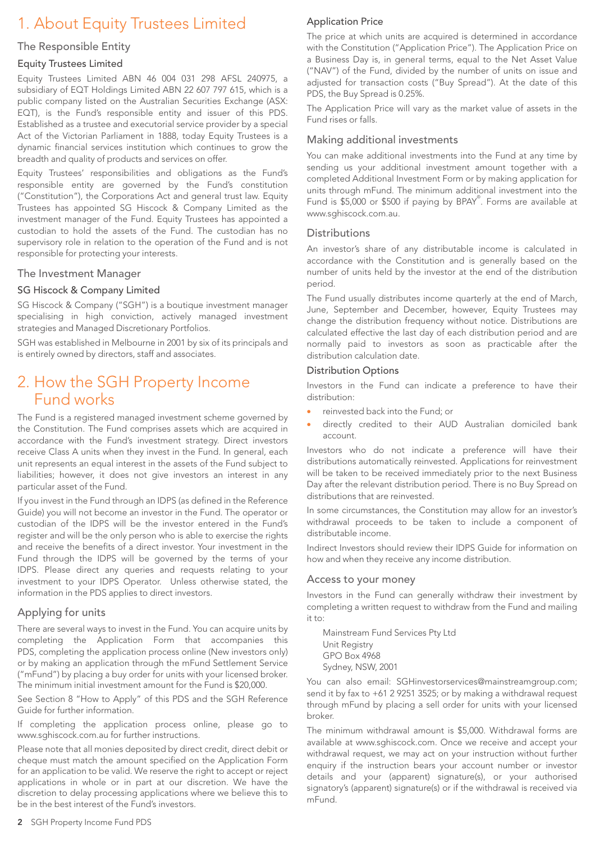# 1. About Equity Trustees Limited

# The Responsible Entity

# Equity Trustees Limited

Equity Trustees Limited ABN 46 004 031 298 AFSL 240975, a subsidiary of EQT Holdings Limited ABN 22 607 797 615, which is a public company listed on the Australian Securities Exchange (ASX: EQT), is the Fund's responsible entity and issuer of this PDS. Established as a trustee and executorial service provider by a special Act of the Victorian Parliament in 1888, today Equity Trustees is a dynamic financial services institution which continues to grow the breadth and quality of products and services on offer.

Equity Trustees' responsibilities and obligations as the Fund's responsible entity are governed by the Fund's constitution ("Constitution"), the Corporations Act and general trust law. Equity Trustees has appointed SG Hiscock & Company Limited as the investment manager of the Fund. Equity Trustees has appointed a custodian to hold the assets of the Fund. The custodian has no supervisory role in relation to the operation of the Fund and is not responsible for protecting your interests.

# The Investment Manager

### SG Hiscock & Company Limited

SG Hiscock & Company ("SGH") is a boutique investment manager specialising in high conviction, actively managed investment strategies and Managed Discretionary Portfolios.

SGH was established in Melbourne in 2001 by six of its principals and is entirely owned by directors, staff and associates.

# 2. How the SGH Property Income Fund works

The Fund is a registered managed investment scheme governed by the Constitution. The Fund comprises assets which are acquired in accordance with the Fund's investment strategy. Direct investors receive Class A units when they invest in the Fund. In general, each unit represents an equal interest in the assets of the Fund subject to liabilities; however, it does not give investors an interest in any particular asset of the Fund.

If you invest in the Fund through an IDPS (as defined in the Reference Guide) you will not become an investor in the Fund. The operator or custodian of the IDPS will be the investor entered in the Fund's register and will be the only person who is able to exercise the rights and receive the benefits of a direct investor. Your investment in the Fund through the IDPS will be governed by the terms of your IDPS. Please direct any queries and requests relating to your investment to your IDPS Operator. Unless otherwise stated, the information in the PDS applies to direct investors.

# Applying for units

There are several ways to invest in the Fund. You can acquire units by completing the Application Form that accompanies this PDS, completing the application process online (New investors only) or by making an application through the mFund Settlement Service ("mFund") by placing a buy order for units with your licensed broker. The minimum initial investment amount for the Fund is \$20,000.

See Section 8 "How to Apply" of this PDS and the SGH Reference Guide for further information.

If completing the application process online, please go to www.sghiscock.com.au for further instructions.

Please note that all monies deposited by direct credit, direct debit or cheque must match the amount specified on the Application Form for an application to be valid. We reserve the right to accept or reject applications in whole or in part at our discretion. We have the discretion to delay processing applications where we believe this to be in the best interest of the Fund's investors.

# Application Price

The price at which units are acquired is determined in accordance with the Constitution ("Application Price"). The Application Price on a Business Day is, in general terms, equal to the Net Asset Value ("NAV") of the Fund, divided by the number of units on issue and adjusted for transaction costs ("Buy Spread"). At the date of this PDS, the Buy Spread is 0.25%.

The Application Price will vary as the market value of assets in the Fund rises or falls.

### Making additional investments

You can make additional investments into the Fund at any time by sending us your additional investment amount together with a completed Additional Investment Form or by making application for units through mFund. The minimum additional investment into the Fund is \$5,000 or \$500 if paying by BPAY<sup>®</sup>. Forms are available at www.sghiscock.com.au.

### **Distributions**

An investor's share of any distributable income is calculated in accordance with the Constitution and is generally based on the number of units held by the investor at the end of the distribution period.

The Fund usually distributes income quarterly at the end of March, June, September and December, however, Equity Trustees may change the distribution frequency without notice. Distributions are calculated effective the last day of each distribution period and are normally paid to investors as soon as practicable after the distribution calculation date.

### Distribution Options

Investors in the Fund can indicate a preference to have their distribution:

- reinvested back into the Fund; or
- directly credited to their AUD Australian domiciled bank account.

Investors who do not indicate a preference will have their distributions automatically reinvested. Applications for reinvestment will be taken to be received immediately prior to the next Business Day after the relevant distribution period. There is no Buy Spread on distributions that are reinvested.

In some circumstances, the Constitution may allow for an investor's withdrawal proceeds to be taken to include a component of distributable income.

Indirect Investors should review their IDPS Guide for information on how and when they receive any income distribution.

#### Access to your money

Investors in the Fund can generally withdraw their investment by completing a written request to withdraw from the Fund and mailing it to:

Mainstream Fund Services Pty Ltd Unit Registry GPO Box 4968 Sydney, NSW, 2001

You can also email: SGHinvestorservices@mainstreamgroup.com; send it by fax to +61 2 9251 3525; or by making a withdrawal request through mFund by placing a sell order for units with your licensed broker.

The minimum withdrawal amount is \$5,000. Withdrawal forms are available at www.sghiscock.com. Once we receive and accept your withdrawal request, we may act on your instruction without further enquiry if the instruction bears your account number or investor details and your (apparent) signature(s), or your authorised signatory's (apparent) signature(s) or if the withdrawal is received via mFund.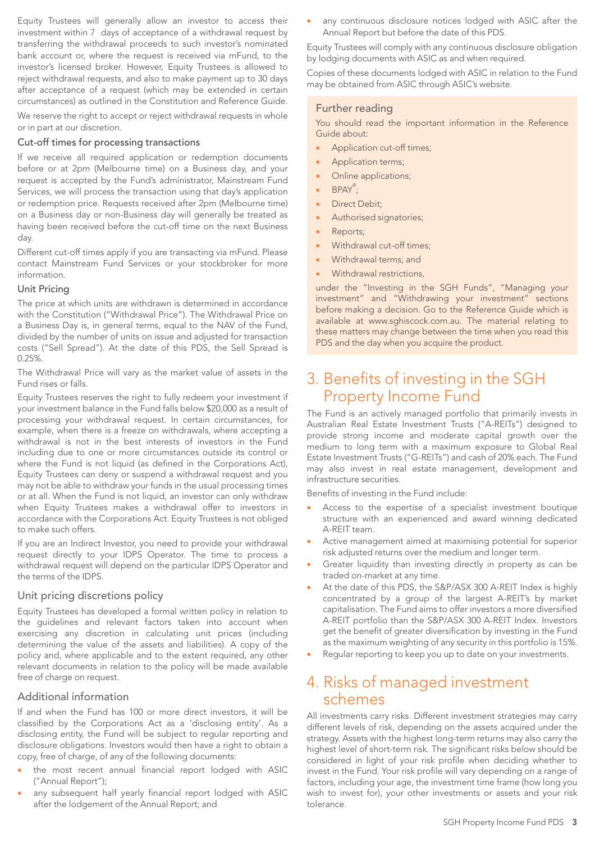Equity Trustees will generally allow an investor to access their investment within 7 days of acceptance of a withdrawal request by transferring the withdrawal proceeds to such investor's nominated bank account or, where the request is received via mFund, to the investor's licensed broker. However, Equity Trustees is allowed to reject withdrawal requests, and also to make payment up to 30 days after acceptance of a request (which may be extended in certain circumstances) as outlined in the Constitution and Reference Guide.

We reserve the right to accept or reject withdrawal requests in whole or in part at our discretion.

### Cut-off times for processing transactions

If we receive all required application or redemption documents before or at 2pm (Melbourne time) on a Business day, and your request is accepted by the Fund's administrator, Mainstream Fund Services, we will process the transaction using that day's application or redemption price. Requests received after 2pm (Melbourne time) on a Business day or non-Business day will generally be treated as having been received before the cut-off time on the next Business day.

Different cut-off times apply if you are transacting via mFund. Please contact Mainstream Fund Services or your stockbroker for more information.

#### Unit Pricing

The price at which units are withdrawn is determined in accordance with the Constitution ("Withdrawal Price"). The Withdrawal Price on a Business Day is, in general terms, equal to the NAV of the Fund, divided by the number of units on issue and adjusted for transaction costs ("Sell Spread"). At the date of this PDS, the Sell Spread is 0.25%.

The Withdrawal Price will vary as the market value of assets in the Fund rises or falls.

Equity Trustees reserves the right to fully redeem your investment if your investment balance in the Fund falls below \$20,000 as a result of processing your withdrawal request. In certain circumstances, for example, when there is a freeze on withdrawals, where accepting a withdrawal is not in the best interests of investors in the Fund including due to one or more circumstances outside its control or where the Fund is not liquid (as defined in the Corporations Act), Equity Trustees can deny or suspend a withdrawal request and you may not be able to withdraw your funds in the usual processing times or at all. When the Fund is not liquid, an investor can only withdraw when Equity Trustees makes a withdrawal offer to investors in accordance with the Corporations Act. Equity Trustees is not obliged to make such offers.

If you are an Indirect Investor, you need to provide your withdrawal request directly to your IDPS Operator. The time to process a withdrawal request will depend on the particular IDPS Operator and the terms of the IDPS.

#### Unit pricing discretions policy

Equity Trustees has developed a formal written policy in relation to the guidelines and relevant factors taken into account when exercising any discretion in calculating unit prices (including determining the value of the assets and liabilities). A copy of the policy and, where applicable and to the extent required, any other relevant documents in relation to the policy will be made available free of charge on request.

# Additional information

If and when the Fund has 100 or more direct investors, it will be classified by the Corporations Act as a 'disclosing entity'. As a disclosing entity, the Fund will be subject to regular reporting and disclosure obligations. Investors would then have a right to obtain a copy, free of charge, of any of the following documents:

- the most recent annual financial report lodged with ASIC ("Annual Report");
- any subsequent half yearly financial report lodged with ASIC after the lodgement of the Annual Report; and

any continuous disclosure notices lodged with ASIC after the Annual Report but before the date of this PDS.

Equity Trustees will comply with any continuous disclosure obligation by lodging documents with ASIC as and when required.

Copies of these documents lodged with ASIC in relation to the Fund may be obtained from ASIC through ASIC's website.

### Further reading

You should read the important information in the Reference Guide about:

- Application cut-off times;
- Application terms;
- Online applications;
- BPAY<sup>®</sup>;
- Direct Debit;
- Authorised signatories;
- Reports;
- Withdrawal cut-off times;
- Withdrawal terms; and
- Withdrawal restrictions.

under the "Investing in the SGH Funds", "Managing your investment" and "Withdrawing your investment" sections before making a decision. Go to the Reference Guide which is available at www.sghiscock.com.au. The material relating to these matters may change between the time when you read this PDS and the day when you acquire the product.

# 3. Benefits of investing in the SGH Property Income Fund

The Fund is an actively managed portfolio that primarily invests in Australian Real Estate Investment Trusts ("A-REITs") designed to provide strong income and moderate capital growth over the medium to long term with a maximum exposure to Global Real Estate Investment Trusts ("G-REITs") and cash of 20% each. The Fund may also invest in real estate management, development and infrastructure securities.

Benefits of investing in the Fund include:

- Access to the expertise of a specialist investment boutique structure with an experienced and award winning dedicated A-REIT team.
- Active management aimed at maximising potential for superior risk adjusted returns over the medium and longer term.
- Greater liquidity than investing directly in property as can be traded on-market at any time.
- At the date of this PDS, the S&P/ASX 300 A-REIT Index is highly concentrated by a group of the largest A-REIT's by market capitalisation. The Fund aims to offer investors a more diversified A-REIT portfolio than the S&P/ASX 300 A-REIT Index. Investors get the benefit of greater diversification by investing in the Fund as the maximum weighting of any security in this portfolio is 15%.
- Regular reporting to keep you up to date on your investments.

# 4. Risks of managed investment schemes

All investments carry risks. Different investment strategies may carry different levels of risk, depending on the assets acquired under the strategy. Assets with the highest long-term returns may also carry the highest level of short-term risk. The significant risks below should be considered in light of your risk profile when deciding whether to invest in the Fund. Your risk profile will vary depending on a range of factors, including your age, the investment time frame (how long you wish to invest for), your other investments or assets and your risk tolerance.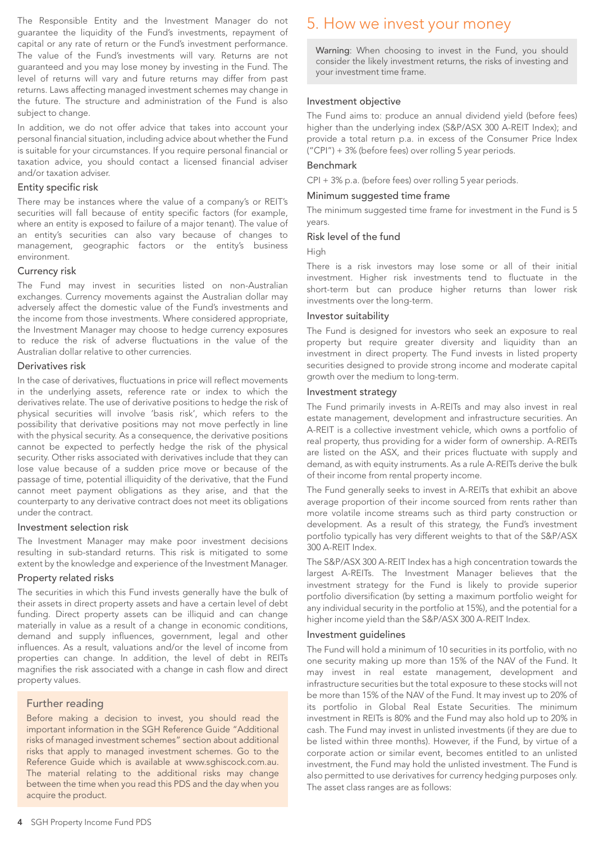The Responsible Entity and the Investment Manager do not guarantee the liquidity of the Fund's investments, repayment of capital or any rate of return or the Fund's investment performance. The value of the Fund's investments will vary. Returns are not guaranteed and you may lose money by investing in the Fund. The level of returns will vary and future returns may differ from past returns. Laws affecting managed investment schemes may change in the future. The structure and administration of the Fund is also subject to change.

In addition, we do not offer advice that takes into account your personal financial situation, including advice about whether the Fund is suitable for your circumstances. If you require personal financial or taxation advice, you should contact a licensed financial adviser and/or taxation adviser.

#### Entity specific risk

There may be instances where the value of a company's or REIT's securities will fall because of entity specific factors (for example, where an entity is exposed to failure of a major tenant). The value of an entity's securities can also vary because of changes to management, geographic factors or the entity's business environment.

#### Currency risk

The Fund may invest in securities listed on non-Australian exchanges. Currency movements against the Australian dollar may adversely affect the domestic value of the Fund's investments and the income from those investments. Where considered appropriate, the Investment Manager may choose to hedge currency exposures to reduce the risk of adverse fluctuations in the value of the Australian dollar relative to other currencies.

#### Derivatives risk

In the case of derivatives, fluctuations in price will reflect movements in the underlying assets, reference rate or index to which the derivatives relate. The use of derivative positions to hedge the risk of physical securities will involve 'basis risk', which refers to the possibility that derivative positions may not move perfectly in line with the physical security. As a consequence, the derivative positions cannot be expected to perfectly hedge the risk of the physical security. Other risks associated with derivatives include that they can lose value because of a sudden price move or because of the passage of time, potential illiquidity of the derivative, that the Fund cannot meet payment obligations as they arise, and that the counterparty to any derivative contract does not meet its obligations under the contract.

#### Investment selection risk

The Investment Manager may make poor investment decisions resulting in sub-standard returns. This risk is mitigated to some extent by the knowledge and experience of the Investment Manager.

#### Property related risks

The securities in which this Fund invests generally have the bulk of their assets in direct property assets and have a certain level of debt funding. Direct property assets can be illiquid and can change materially in value as a result of a change in economic conditions, demand and supply influences, government, legal and other influences. As a result, valuations and/or the level of income from properties can change. In addition, the level of debt in REITs magnifies the risk associated with a change in cash flow and direct property values.

### Further reading

Before making a decision to invest, you should read the important information in the SGH Reference Guide "Additional risks of managed investment schemes" section about additional risks that apply to managed investment schemes. Go to the Reference Guide which is available at www.sghiscock.com.au. The material relating to the additional risks may change between the time when you read this PDS and the day when you acquire the product.

# 5. How we invest your money

Warning: When choosing to invest in the Fund, you should consider the likely investment returns, the risks of investing and your investment time frame.

#### Investment objective

The Fund aims to: produce an annual dividend yield (before fees) higher than the underlying index (S&P/ASX 300 A-REIT Index); and provide a total return p.a. in excess of the Consumer Price lndex ("CPI") + 3% (before fees) over rolling 5 year periods.

#### Benchmark

CPI + 3% p.a. (before fees) over rolling 5 year periods.

#### Minimum suggested time frame

The minimum suggested time frame for investment in the Fund is 5 years.

#### Risk level of the fund

High

There is a risk investors may lose some or all of their initial investment. Higher risk investments tend to fluctuate in the short-term but can produce higher returns than lower risk investments over the long-term.

#### Investor suitability

The Fund is designed for investors who seek an exposure to real property but require greater diversity and liquidity than an investment in direct property. The Fund invests in listed property securities designed to provide strong income and moderate capital growth over the medium to long-term.

#### Investment strategy

The Fund primarily invests in A-REITs and may also invest in real estate management, development and infrastructure securities. An A-REIT is a collective investment vehicle, which owns a portfolio of real property, thus providing for a wider form of ownership. A-REITs are listed on the ASX, and their prices fluctuate with supply and demand, as with equity instruments. As a rule A-REITs derive the bulk of their income from rental property income.

The Fund generally seeks to invest in A-REITs that exhibit an above average proportion of their income sourced from rents rather than more volatile income streams such as third party construction or development. As a result of this strategy, the Fund's investment portfolio typically has very different weights to that of the S&P/ASX 300 A-REIT Index.

The S&P/ASX 300 A-REIT Index has a high concentration towards the largest A-REITs. The Investment Manager believes that the investment strategy for the Fund is likely to provide superior portfolio diversification (by setting a maximum portfolio weight for any individual security in the portfolio at 15%), and the potential for a higher income yield than the S&P/ASX 300 A-REIT Index.

#### Investment guidelines

The Fund will hold a minimum of 10 securities in its portfolio, with no one security making up more than 15% of the NAV of the Fund. It may invest in real estate management, development and infrastructure securities but the total exposure to these stocks will not be more than 15% of the NAV of the Fund. It may invest up to 20% of its portfolio in Global Real Estate Securities. The minimum investment in REITs is 80% and the Fund may also hold up to 20% in cash. The Fund may invest in unlisted investments (if they are due to be listed within three months). However, if the Fund, by virtue of a corporate action or similar event, becomes entitled to an unlisted investment, the Fund may hold the unlisted investment. The Fund is also permitted to use derivatives for currency hedging purposes only. The asset class ranges are as follows: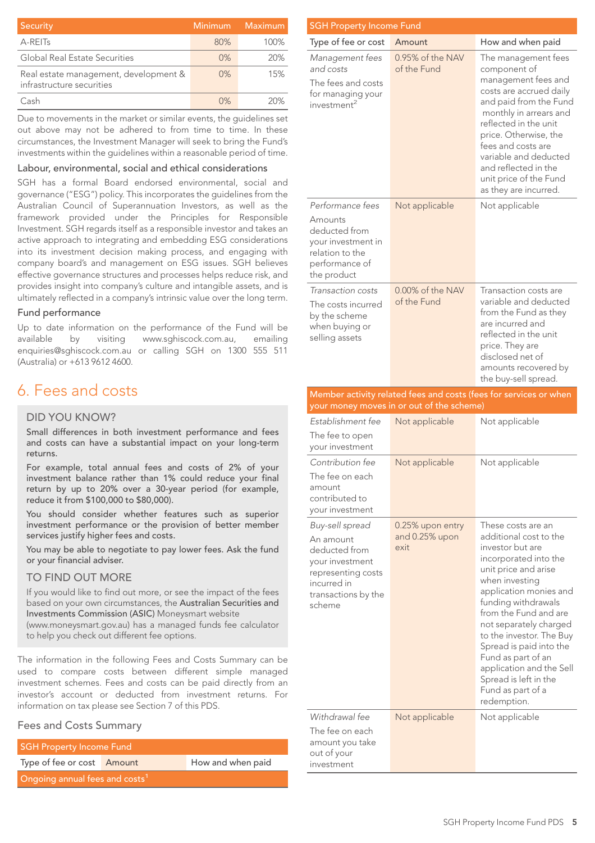| Security                                                           | Minimum | Maximum |
|--------------------------------------------------------------------|---------|---------|
| A-REIT <sub>S</sub>                                                | 80%     | 100%    |
| Global Real Estate Securities                                      | 0%      | 20%     |
| Real estate management, development &<br>infrastructure securities | $0\%$   | 15%     |
| Cash                                                               | 0%      | 20%     |

Due to movements in the market or similar events, the guidelines set out above may not be adhered to from time to time. In these circumstances, the Investment Manager will seek to bring the Fund's investments within the guidelines within a reasonable period of time.

#### Labour, environmental, social and ethical considerations

SGH has a formal Board endorsed environmental, social and governance ("ESG") policy. This incorporates the guidelines from the Australian Council of Superannuation Investors, as well as the framework provided under the Principles for Responsible Investment. SGH regards itself as a responsible investor and takes an active approach to integrating and embedding ESG considerations into its investment decision making process, and engaging with company board's and management on ESG issues. SGH believes effective governance structures and processes helps reduce risk, and provides insight into company's culture and intangible assets, and is ultimately reflected in a company's intrinsic value over the long term.

#### Fund performance

Up to date information on the performance of the Fund will be available by visiting www.sghiscock.com.au, emailing enquiries@sghiscock.com.au or calling SGH on 1300 555 511 (Australia) or +613 9612 4600.

# 6. Fees and costs

#### DID YOU KNOW?

Small differences in both investment performance and fees and costs can have a substantial impact on your long-term returns.

For example, total annual fees and costs of 2% of your investment balance rather than 1% could reduce your final return by up to 20% over a 30-year period (for example, reduce it from \$100,000 to \$80,000).

You should consider whether features such as superior investment performance or the provision of better member services justify higher fees and costs.

You may be able to negotiate to pay lower fees. Ask the fund or your financial adviser.

#### TO FIND OUT MORE

If you would like to find out more, or see the impact of the fees based on your own circumstances, the Australian Securities and Investments Commission (ASIC) Moneysmart website

(www.moneysmart.gov.au) has a managed funds fee calculator to help you check out different fee options.

The information in the following Fees and Costs Summary can be used to compare costs between different simple managed investment schemes. Fees and costs can be paid directly from an investor's account or deducted from investment returns. For information on tax please see Section 7 of this PDS.

# Fees and Costs Summary

| <b>SGH Property Income Fund</b>            |  |                   |
|--------------------------------------------|--|-------------------|
| Type of fee or cost Amount                 |  | How and when paid |
| Ongoing annual fees and costs <sup>1</sup> |  |                   |

| <b>SGH Property Income Fund</b>                                                                                        |                                 |                                                                                                                                                                                                                                                                                                                       |  |
|------------------------------------------------------------------------------------------------------------------------|---------------------------------|-----------------------------------------------------------------------------------------------------------------------------------------------------------------------------------------------------------------------------------------------------------------------------------------------------------------------|--|
| Type of fee or cost                                                                                                    | Amount                          | How and when paid                                                                                                                                                                                                                                                                                                     |  |
| Management fees<br>and costs<br>The fees and costs<br>for managing your<br>investment <sup>2</sup>                     | 0.95% of the NAV<br>of the Fund | The management fees<br>component of<br>management fees and<br>costs are accrued daily<br>and paid from the Fund<br>monthly in arrears and<br>reflected in the unit<br>price. Otherwise, the<br>fees and costs are<br>variable and deducted<br>and reflected in the<br>unit price of the Fund<br>as they are incurred. |  |
| Performance fees<br>Amounts<br>deducted from<br>your investment in<br>relation to the<br>performance of<br>the product | Not applicable                  | Not applicable                                                                                                                                                                                                                                                                                                        |  |
| Transaction costs<br>The costs incurred<br>by the scheme<br>when buying or<br>selling assets                           | 0.00% of the NAV<br>of the Fund | Transaction costs are<br>variable and deducted<br>from the Fund as they<br>are incurred and<br>reflected in the unit<br>price. They are<br>disclosed net of<br>amounts recovered by<br>the buy-sell spread.                                                                                                           |  |

#### Member activity related fees and costs (fees for services or when your money moves in or out of the scheme)

| Establishment fee<br>The fee to open                                                                                                   | Not applicable                             | Not applicable                                                                                                                                                                                                                                                                                                                                                                                                |
|----------------------------------------------------------------------------------------------------------------------------------------|--------------------------------------------|---------------------------------------------------------------------------------------------------------------------------------------------------------------------------------------------------------------------------------------------------------------------------------------------------------------------------------------------------------------------------------------------------------------|
| your investment<br>Contribution fee<br>The fee on each<br>amount<br>contributed to<br>your investment                                  | Not applicable                             | Not applicable                                                                                                                                                                                                                                                                                                                                                                                                |
| Buy-sell spread<br>An amount<br>deducted from<br>your investment<br>representing costs<br>incurred in<br>transactions by the<br>scheme | 0.25% upon entry<br>and 0.25% upon<br>exit | These costs are an<br>additional cost to the<br>investor but are<br>incorporated into the<br>unit price and arise<br>when investing<br>application monies and<br>funding withdrawals<br>from the Fund and are<br>not separately charged<br>to the investor. The Buy<br>Spread is paid into the<br>Fund as part of an<br>application and the Sell<br>Spread is left in the<br>Fund as part of a<br>redemption. |
| Withdrawal fee<br>The fee on each<br>amount you take<br>out of your<br>investment                                                      | Not applicable                             | Not applicable                                                                                                                                                                                                                                                                                                                                                                                                |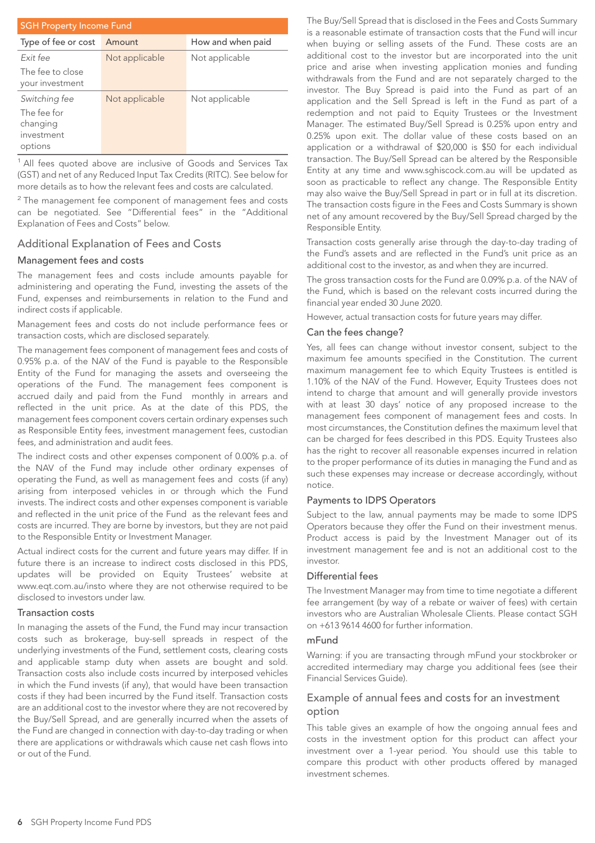| <b>SGH Property Income Fund</b>                                   |                |                   |
|-------------------------------------------------------------------|----------------|-------------------|
| Type of fee or cost                                               | Amount         | How and when paid |
| Fxit fee                                                          | Not applicable | Not applicable    |
| The fee to close<br>your investment                               |                |                   |
| Switching fee<br>The fee for<br>changing<br>investment<br>options | Not applicable | Not applicable    |

<sup>1</sup> All fees quoted above are inclusive of Goods and Services Tax (GST) and net of any Reduced Input Tax Credits (RITC). See below for more details as to how the relevant fees and costs are calculated.

 $2$  The management fee component of management fees and costs can be negotiated. See "Differential fees" in the "Additional Explanation of Fees and Costs" below.

### Additional Explanation of Fees and Costs

#### Management fees and costs

The management fees and costs include amounts payable for administering and operating the Fund, investing the assets of the Fund, expenses and reimbursements in relation to the Fund and indirect costs if applicable.

Management fees and costs do not include performance fees or transaction costs, which are disclosed separately.

The management fees component of management fees and costs of 0.95% p.a. of the NAV of the Fund is payable to the Responsible Entity of the Fund for managing the assets and overseeing the operations of the Fund. The management fees component is accrued daily and paid from the Fund monthly in arrears and reflected in the unit price. As at the date of this PDS, the management fees component covers certain ordinary expenses such as Responsible Entity fees, investment management fees, custodian fees, and administration and audit fees.

The indirect costs and other expenses component of 0.00% p.a. of the NAV of the Fund may include other ordinary expenses of operating the Fund, as well as management fees and costs (if any) arising from interposed vehicles in or through which the Fund invests. The indirect costs and other expenses component is variable and reflected in the unit price of the Fund as the relevant fees and costs are incurred. They are borne by investors, but they are not paid to the Responsible Entity or Investment Manager.

Actual indirect costs for the current and future years may differ. If in future there is an increase to indirect costs disclosed in this PDS, updates will be provided on Equity Trustees' website at www.eqt.com.au/insto where they are not otherwise required to be disclosed to investors under law.

#### Transaction costs

In managing the assets of the Fund, the Fund may incur transaction costs such as brokerage, buy-sell spreads in respect of the underlying investments of the Fund, settlement costs, clearing costs and applicable stamp duty when assets are bought and sold. Transaction costs also include costs incurred by interposed vehicles in which the Fund invests (if any), that would have been transaction costs if they had been incurred by the Fund itself. Transaction costs are an additional cost to the investor where they are not recovered by the Buy/Sell Spread, and are generally incurred when the assets of the Fund are changed in connection with day-to-day trading or when there are applications or withdrawals which cause net cash flows into or out of the Fund.

The Buy/Sell Spread that is disclosed in the Fees and Costs Summary is a reasonable estimate of transaction costs that the Fund will incur when buying or selling assets of the Fund. These costs are an additional cost to the investor but are incorporated into the unit price and arise when investing application monies and funding withdrawals from the Fund and are not separately charged to the investor. The Buy Spread is paid into the Fund as part of an application and the Sell Spread is left in the Fund as part of a redemption and not paid to Equity Trustees or the Investment Manager. The estimated Buy/Sell Spread is 0.25% upon entry and 0.25% upon exit. The dollar value of these costs based on an application or a withdrawal of \$20,000 is \$50 for each individual transaction. The Buy/Sell Spread can be altered by the Responsible Entity at any time and www.sghiscock.com.au will be updated as soon as practicable to reflect any change. The Responsible Entity may also waive the Buy/Sell Spread in part or in full at its discretion. The transaction costs figure in the Fees and Costs Summary is shown net of any amount recovered by the Buy/Sell Spread charged by the Responsible Entity.

Transaction costs generally arise through the day-to-day trading of the Fund's assets and are reflected in the Fund's unit price as an additional cost to the investor, as and when they are incurred.

The gross transaction costs for the Fund are 0.09% p.a. of the NAV of the Fund, which is based on the relevant costs incurred during the financial year ended 30 June 2020.

However, actual transaction costs for future years may differ.

#### Can the fees change?

Yes, all fees can change without investor consent, subject to the maximum fee amounts specified in the Constitution. The current maximum management fee to which Equity Trustees is entitled is 1.10% of the NAV of the Fund. However, Equity Trustees does not intend to charge that amount and will generally provide investors with at least 30 days' notice of any proposed increase to the management fees component of management fees and costs. In most circumstances, the Constitution defines the maximum level that can be charged for fees described in this PDS. Equity Trustees also has the right to recover all reasonable expenses incurred in relation to the proper performance of its duties in managing the Fund and as such these expenses may increase or decrease accordingly, without notice.

#### Payments to IDPS Operators

Subject to the law, annual payments may be made to some IDPS Operators because they offer the Fund on their investment menus. Product access is paid by the Investment Manager out of its investment management fee and is not an additional cost to the investor.

#### Differential fees

The Investment Manager may from time to time negotiate a different fee arrangement (by way of a rebate or waiver of fees) with certain investors who are Australian Wholesale Clients. Please contact SGH on +613 9614 4600 for further information.

#### mFund

Warning: if you are transacting through mFund your stockbroker or accredited intermediary may charge you additional fees (see their Financial Services Guide).

# Example of annual fees and costs for an investment option

This table gives an example of how the ongoing annual fees and costs in the investment option for this product can affect your investment over a 1-year period. You should use this table to compare this product with other products offered by managed investment schemes.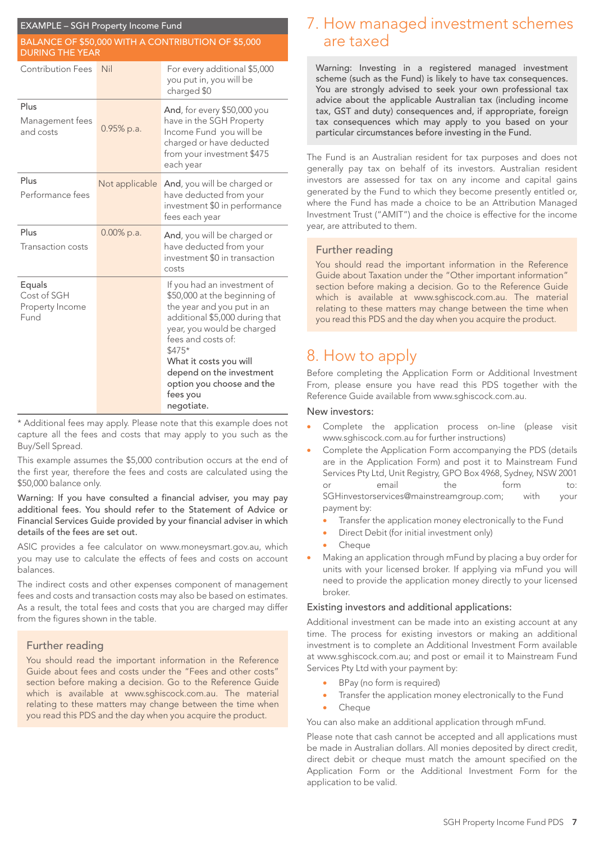| <b>EXAMPLE - SGH Property Income Fund</b>                                    |                |                                                                                                                                                                                                                                                                                                        |  |
|------------------------------------------------------------------------------|----------------|--------------------------------------------------------------------------------------------------------------------------------------------------------------------------------------------------------------------------------------------------------------------------------------------------------|--|
| BALANCE OF \$50,000 WITH A CONTRIBUTION OF \$5,000<br><b>DURING THE YEAR</b> |                |                                                                                                                                                                                                                                                                                                        |  |
| <b>Contribution Fees</b>                                                     | Nil            | For every additional \$5,000<br>you put in, you will be<br>charged \$0                                                                                                                                                                                                                                 |  |
| Plus<br>Management fees<br>and costs                                         | 0.95% p.a.     | And, for every \$50,000 you<br>have in the SGH Property<br>Income Fund you will be<br>charged or have deducted<br>from your investment \$475<br>each year                                                                                                                                              |  |
| Plus<br>Performance fees                                                     | Not applicable | And, you will be charged or<br>have deducted from your<br>investment \$0 in performance<br>fees each year                                                                                                                                                                                              |  |
| Plus<br>Transaction costs                                                    | 0.00% p.a.     | And, you will be charged or<br>have deducted from your<br>investment \$0 in transaction<br>costs                                                                                                                                                                                                       |  |
| Equals<br>Cost of SGH<br>Property Income<br>Fund                             |                | If you had an investment of<br>\$50,000 at the beginning of<br>the year and you put in an<br>additional \$5,000 during that<br>year, you would be charged<br>fees and costs of:<br>\$475*<br>What it costs you will<br>depend on the investment<br>option you choose and the<br>fees you<br>negotiate. |  |

\* Additional fees may apply. Please note that this example does not capture all the fees and costs that may apply to you such as the Buy/Sell Spread.

This example assumes the \$5,000 contribution occurs at the end of the first year, therefore the fees and costs are calculated using the \$50,000 balance only.

Warning: If you have consulted a financial adviser, you may pay additional fees. You should refer to the Statement of Advice or Financial Services Guide provided by your financial adviser in which details of the fees are set out.

ASIC provides a fee calculator on www.moneysmart.gov.au, which you may use to calculate the effects of fees and costs on account balances.

The indirect costs and other expenses component of management fees and costs and transaction costs may also be based on estimates. As a result, the total fees and costs that you are charged may differ from the figures shown in the table.

# Further reading

You should read the important information in the Reference Guide about fees and costs under the "Fees and other costs" section before making a decision. Go to the Reference Guide which is available at www.sghiscock.com.au. The material relating to these matters may change between the time when you read this PDS and the day when you acquire the product.

# 7. How managed investment schemes are taxed

Warning: Investing in a registered managed investment scheme (such as the Fund) is likely to have tax consequences. You are strongly advised to seek your own professional tax advice about the applicable Australian tax (including income tax, GST and duty) consequences and, if appropriate, foreign tax consequences which may apply to you based on your particular circumstances before investing in the Fund.

The Fund is an Australian resident for tax purposes and does not generally pay tax on behalf of its investors. Australian resident investors are assessed for tax on any income and capital gains generated by the Fund to which they become presently entitled or, where the Fund has made a choice to be an Attribution Managed Investment Trust ("AMIT") and the choice is effective for the income year, are attributed to them.

# Further reading

You should read the important information in the Reference Guide about Taxation under the "Other important information" section before making a decision. Go to the Reference Guide which is available at www.sghiscock.com.au. The material relating to these matters may change between the time when you read this PDS and the day when you acquire the product.

# 8. How to apply

Before completing the Application Form or Additional Investment From, please ensure you have read this PDS together with the Reference Guide available from www.sghiscock.com.au.

#### New investors:

- Complete the application process on-line (please visit www.sghiscock.com.au for further instructions)
- Complete the Application Form accompanying the PDS (details are in the Application Form) and post it to Mainstream Fund Services Pty Ltd, Unit Registry, GPO Box 4968, Sydney, NSW 2001 or email the form to: SGHinvestorservices@mainstreamgroup.com; with your payment by:
	- Transfer the application money electronically to the Fund
	- Direct Debit (for initial investment only)
	- **Cheque**
- Making an application through mFund by placing a buy order for units with your licensed broker. If applying via mFund you will need to provide the application money directly to your licensed broker.

#### Existing investors and additional applications:

Additional investment can be made into an existing account at any time. The process for existing investors or making an additional investment is to complete an Additional Investment Form available at www.sghiscock.com.au; and post or email it to Mainstream Fund Services Pty Ltd with your payment by:

- BPay (no form is required)
- Transfer the application money electronically to the Fund
- Cheque

#### You can also make an additional application through mFund.

Please note that cash cannot be accepted and all applications must be made in Australian dollars. All monies deposited by direct credit, direct debit or cheque must match the amount specified on the Application Form or the Additional Investment Form for the application to be valid.